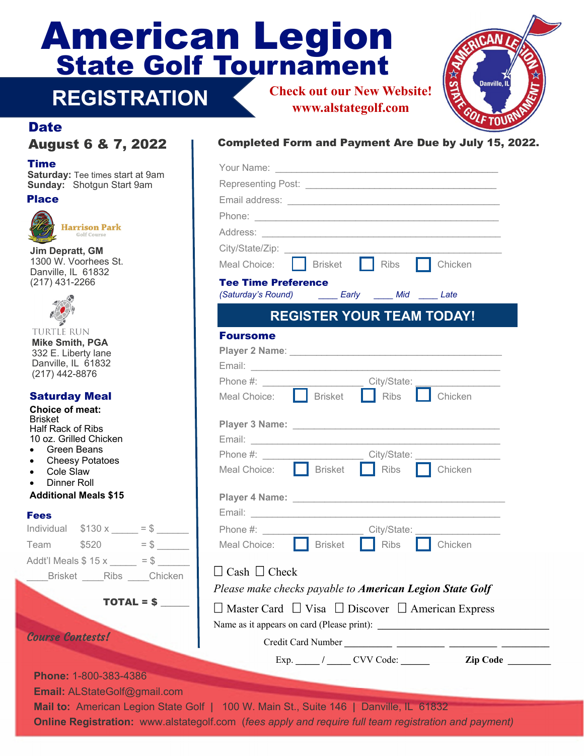# State Golf Tournament American Legion **Check out our New Website!**



#### **Date**

**REGISTRATION** 

#### Time

**Saturday: Tee times start at 9am Sunday:** Shotgun Start 9am

#### Place



**Harrison Park** Golf Course

**Jim Depratt, GM**  1300 W. Voorhees St. Danville, IL 61832 (217) 431-2266



**TURTLE RUN Mike Smith, PGA**  332 E. Liberty lane Danville, IL 61832 (217) 442-8876

#### Saturday Meal

| личин мыр тимин<br>Choice of meat:<br><b>Brisket</b><br><b>Half Rack of Ribs</b><br>10 oz. Grilled Chicken<br>$\bullet$ Green Beans<br>• Cheesy Potatoes<br>• Cole Slaw<br>• Dinner Roll<br><b>Additional Meals \$15</b> |                         |            |  |
|--------------------------------------------------------------------------------------------------------------------------------------------------------------------------------------------------------------------------|-------------------------|------------|--|
| <b>Fees</b>                                                                                                                                                                                                              |                         |            |  |
|                                                                                                                                                                                                                          | Individual $$130 x = $$ |            |  |
|                                                                                                                                                                                                                          | Team $$520 = $$         |            |  |
| Addt'l Meals $$ 15 x \_ = $$                                                                                                                                                                                             |                         |            |  |
|                                                                                                                                                                                                                          | Brisket Ribs Chicken    |            |  |
|                                                                                                                                                                                                                          |                         | TOTAL = \$ |  |
| <b>Course Contests!</b>                                                                                                                                                                                                  |                         |            |  |

**Phone:** 1-800-383-4386

**Email:** ALStateGolf@gmail.com

### August 6 & 7, 2022 Completed Form and Payment Are Due by July 15, 2022.

**www.alstategolf.com** 

| t at 9am |                                                                                                                                                                                       |
|----------|---------------------------------------------------------------------------------------------------------------------------------------------------------------------------------------|
|          |                                                                                                                                                                                       |
|          |                                                                                                                                                                                       |
|          |                                                                                                                                                                                       |
|          |                                                                                                                                                                                       |
|          | Brisket Ribs<br><b>Chicken</b><br>Meal Choice:                                                                                                                                        |
|          | <b>Tee Time Preference</b>                                                                                                                                                            |
|          |                                                                                                                                                                                       |
|          | <b>REGISTER YOUR TEAM TODAY!</b>                                                                                                                                                      |
|          | <b>Foursome</b>                                                                                                                                                                       |
|          |                                                                                                                                                                                       |
|          | Email: <b>Email: Email: Email: Email: Email: Email: Email: Email: Email: EMAIL: EMAIL: EMAIL: EMAIL: EMAIL: EMAIL: EMAIL: EMAIL: EMAIL: EMAIL: EMAIL: EMAIL: EMAIL: EMAIL: EMAIL:</b> |
|          | City/State:<br>Phone #:                                                                                                                                                               |
|          | Meal Choice: <b>Brisket</b> Ribs Chicken                                                                                                                                              |
|          |                                                                                                                                                                                       |
|          |                                                                                                                                                                                       |
|          | Phone #: __________________________City/State: _________________________________                                                                                                      |
|          | Meal Choice: $\Box$ Brisket $\Box$ Ribs<br><b>I</b> Chicken                                                                                                                           |
|          |                                                                                                                                                                                       |
|          |                                                                                                                                                                                       |
|          |                                                                                                                                                                                       |
|          | Meal Choice: Brisket Ribs Chicken                                                                                                                                                     |
| $=$ \$   |                                                                                                                                                                                       |
| Chicken  | $\Box$ Cash $\Box$ Check                                                                                                                                                              |
|          | Please make checks payable to American Legion State Golf                                                                                                                              |
|          | $\Box$ Master Card $\Box$ Visa $\Box$ Discover $\Box$ American Express                                                                                                                |
|          |                                                                                                                                                                                       |
|          |                                                                                                                                                                                       |
|          | $Exp.$ ______/ ______ CVV Code: _______<br><b>Zip Code</b>                                                                                                                            |

**Mail to: American Legion State Golf Online Registration:** www.alstategolf.com (*fees apply and require full team registration and payment)*